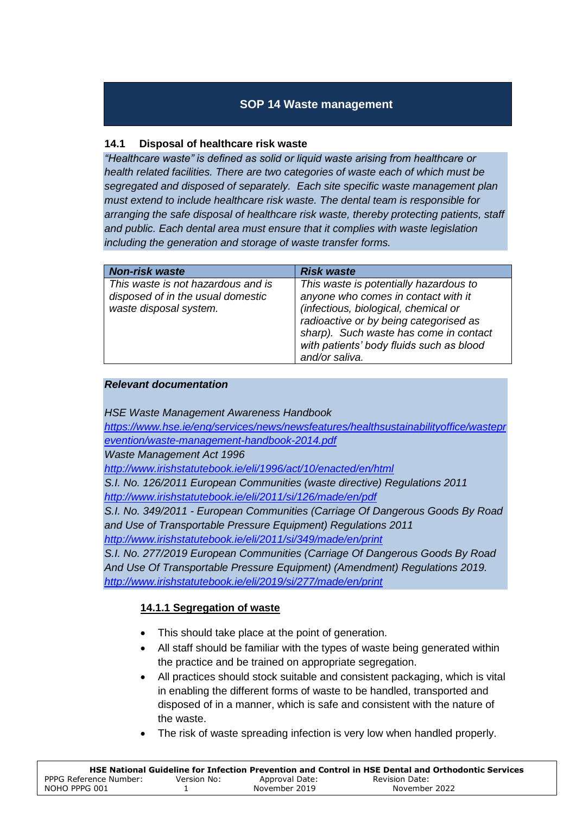# **SOP 14 Waste management**

### **14.1 Disposal of healthcare risk waste**

*"Healthcare waste" is defined as solid or liquid waste arising from healthcare or health related facilities. There are two categories of waste each of which must be segregated and disposed of separately. Each site specific waste management plan must extend to include healthcare risk waste. The dental team is responsible for arranging the safe disposal of healthcare risk waste, thereby protecting patients, staff and public. Each dental area must ensure that it complies with waste legislation including the generation and storage of waste transfer forms.* 

| <b>Non-risk waste</b>                                                                             | <b>Risk waste</b>                                                                                                                                                                                                                                                       |
|---------------------------------------------------------------------------------------------------|-------------------------------------------------------------------------------------------------------------------------------------------------------------------------------------------------------------------------------------------------------------------------|
| This waste is not hazardous and is<br>disposed of in the usual domestic<br>waste disposal system. | This waste is potentially hazardous to<br>anyone who comes in contact with it<br>(infectious, biological, chemical or<br>radioactive or by being categorised as<br>sharp). Such waste has come in contact<br>with patients' body fluids such as blood<br>and/or saliva. |

#### *Relevant documentation*

*HSE Waste Management Awareness Handbook* 

*[https://www.hse.ie/eng/services/news/newsfeatures/healthsustainabilityoffice/wastepr](https://www.hse.ie/eng/services/news/newsfeatures/healthsustainabilityoffice/wasteprevention/waste-management-handbook-2014.pdf) [evention/waste-management-handbook-2014.pdf](https://www.hse.ie/eng/services/news/newsfeatures/healthsustainabilityoffice/wasteprevention/waste-management-handbook-2014.pdf)*

*Waste Management Act 1996*

*<http://www.irishstatutebook.ie/eli/1996/act/10/enacted/en/html>*

*S.I. No. 126/2011 European Communities (waste directive) Regulations 2011 <http://www.irishstatutebook.ie/eli/2011/si/126/made/en/pdf>*

*S.I. No. 349/2011 - European Communities (Carriage Of Dangerous Goods By Road and Use of Transportable Pressure Equipment) Regulations 2011 <http://www.irishstatutebook.ie/eli/2011/si/349/made/en/print>*

*S.I. No. 277/2019 European Communities (Carriage Of Dangerous Goods By Road And Use Of Transportable Pressure Equipment) (Amendment) Regulations 2019. <http://www.irishstatutebook.ie/eli/2019/si/277/made/en/print>*

#### **14.1.1 Segregation of waste**

- This should take place at the point of generation.
- All staff should be familiar with the types of waste being generated within the practice and be trained on appropriate segregation.
- All practices should stock suitable and consistent packaging, which is vital in enabling the different forms of waste to be handled, transported and disposed of in a manner, which is safe and consistent with the nature of the waste.
- The risk of waste spreading infection is very low when handled properly.

|                        |             |                | HSE National Guideline for Infection Prevention and Control in HSE Dental and Orthodontic Services |
|------------------------|-------------|----------------|----------------------------------------------------------------------------------------------------|
| PPPG Reference Number: | Version No: | Approval Date: | Revision Date:                                                                                     |
| NOHO PPPG 001          |             | November 2019  | November 2022                                                                                      |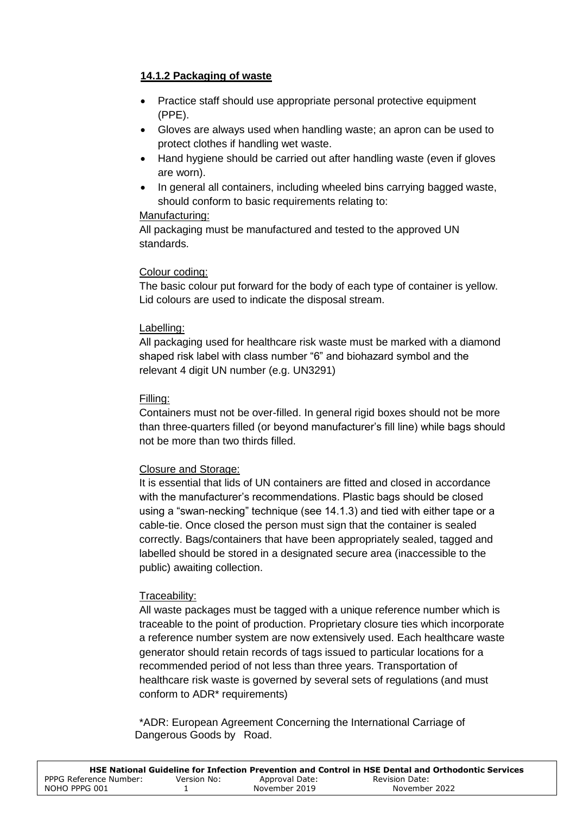## **14.1.2 Packaging of waste**

- Practice staff should use appropriate personal protective equipment (PPE).
- Gloves are always used when handling waste; an apron can be used to protect clothes if handling wet waste.
- Hand hygiene should be carried out after handling waste (even if gloves are worn).
- In general all containers, including wheeled bins carrying bagged waste, should conform to basic requirements relating to:

### Manufacturing:

All packaging must be manufactured and tested to the approved UN standards.

### Colour coding:

The basic colour put forward for the body of each type of container is yellow. Lid colours are used to indicate the disposal stream.

### Labelling:

All packaging used for healthcare risk waste must be marked with a diamond shaped risk label with class number "6" and biohazard symbol and the relevant 4 digit UN number (e.g. UN3291)

### Filling:

Containers must not be over-filled. In general rigid boxes should not be more than three-quarters filled (or beyond manufacturer's fill line) while bags should not be more than two thirds filled.

## Closure and Storage:

It is essential that lids of UN containers are fitted and closed in accordance with the manufacturer's recommendations. Plastic bags should be closed using a "swan-necking" technique (see 14.1.3) and tied with either tape or a cable-tie. Once closed the person must sign that the container is sealed correctly. Bags/containers that have been appropriately sealed, tagged and labelled should be stored in a designated secure area (inaccessible to the public) awaiting collection.

## Traceability:

All waste packages must be tagged with a unique reference number which is traceable to the point of production. Proprietary closure ties which incorporate a reference number system are now extensively used. Each healthcare waste generator should retain records of tags issued to particular locations for a recommended period of not less than three years. Transportation of healthcare risk waste is governed by several sets of regulations (and must conform to ADR\* requirements)

\*ADR: European Agreement Concerning the International Carriage of Dangerous Goods by Road.

|                        |             |                | HSE National Guideline for Infection Prevention and Control in HSE Dental and Orthodontic Services |
|------------------------|-------------|----------------|----------------------------------------------------------------------------------------------------|
| PPPG Reference Number: | Version No: | Approval Date: | Revision Date:                                                                                     |
| NOHO PPPG 001          |             | November 2019  | November 2022                                                                                      |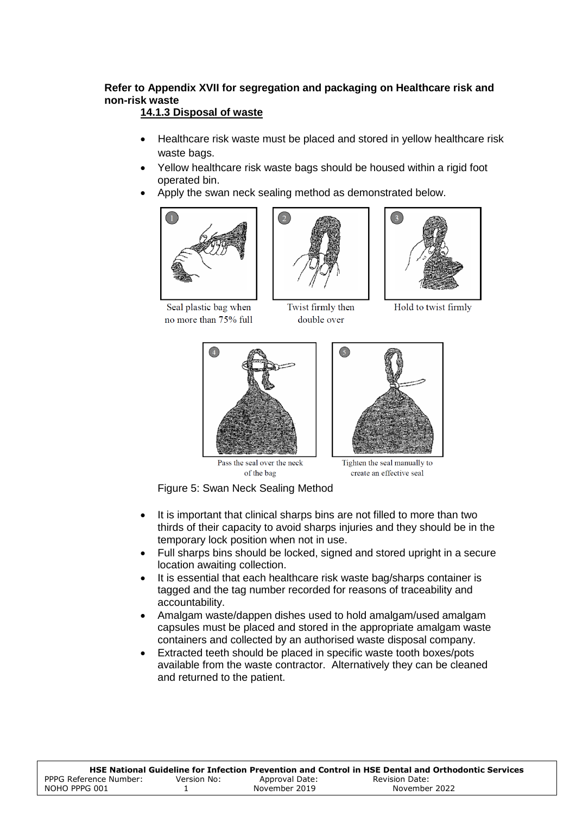# **Refer to Appendix XVII for segregation and packaging on Healthcare risk and non-risk waste**

## **14.1.3 Disposal of waste**

- Healthcare risk waste must be placed and stored in yellow healthcare risk waste bags.
- Yellow healthcare risk waste bags should be housed within a rigid foot operated bin.
- Apply the swan neck sealing method as demonstrated below.



Seal plastic bag when no more than 75% full



Twist firmly then double over



Hold to twist firmly





Pass the seal over the neck of the bag

Tighten the seal manually to create an effective seal

Figure 5: Swan Neck Sealing Method

- It is important that clinical sharps bins are not filled to more than two thirds of their capacity to avoid sharps injuries and they should be in the temporary lock position when not in use.
- Full sharps bins should be locked, signed and stored upright in a secure location awaiting collection.
- It is essential that each healthcare risk waste bag/sharps container is tagged and the tag number recorded for reasons of traceability and accountability.
- Amalgam waste/dappen dishes used to hold amalgam/used amalgam capsules must be placed and stored in the appropriate amalgam waste containers and collected by an authorised waste disposal company.
- Extracted teeth should be placed in specific waste tooth boxes/pots available from the waste contractor. Alternatively they can be cleaned and returned to the patient.

|                        |             |                | HSE National Guideline for Infection Prevention and Control in HSE Dental and Orthodontic Services |
|------------------------|-------------|----------------|----------------------------------------------------------------------------------------------------|
| PPPG Reference Number: | Version No: | Approval Date: | Revision Date:                                                                                     |
| NOHO PPPG 001          |             | November 2019  | November 2022                                                                                      |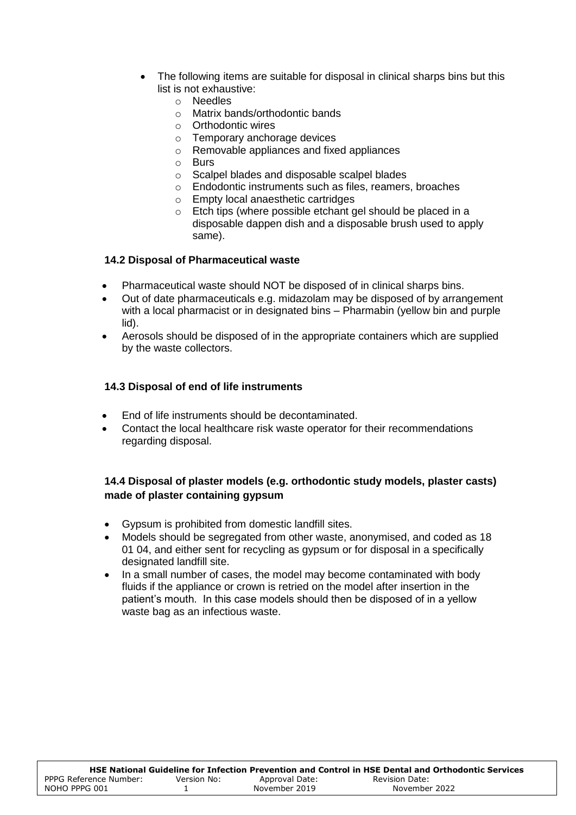- The following items are suitable for disposal in clinical sharps bins but this list is not exhaustive:
	- o Needles
	- o Matrix bands/orthodontic bands
	- o Orthodontic wires
	- o Temporary anchorage devices
	- o Removable appliances and fixed appliances
	- o Burs
	- o Scalpel blades and disposable scalpel blades
	- o Endodontic instruments such as files, reamers, broaches
	- o Empty local anaesthetic cartridges
	- o Etch tips (where possible etchant gel should be placed in a disposable dappen dish and a disposable brush used to apply same).

#### **14.2 Disposal of Pharmaceutical waste**

- Pharmaceutical waste should NOT be disposed of in clinical sharps bins.
- Out of date pharmaceuticals e.g. midazolam may be disposed of by arrangement with a local pharmacist or in designated bins – Pharmabin (yellow bin and purple lid).
- Aerosols should be disposed of in the appropriate containers which are supplied by the waste collectors.

#### **14.3 Disposal of end of life instruments**

- End of life instruments should be decontaminated.
- Contact the local healthcare risk waste operator for their recommendations regarding disposal.

### **14.4 Disposal of plaster models (e.g. orthodontic study models, plaster casts) made of plaster containing gypsum**

- Gypsum is prohibited from domestic landfill sites.
- Models should be segregated from other waste, anonymised, and coded as 18 01 04, and either sent for recycling as gypsum or for disposal in a specifically designated landfill site.
- In a small number of cases, the model may become contaminated with body fluids if the appliance or crown is retried on the model after insertion in the patient's mouth. In this case models should then be disposed of in a yellow waste bag as an infectious waste.